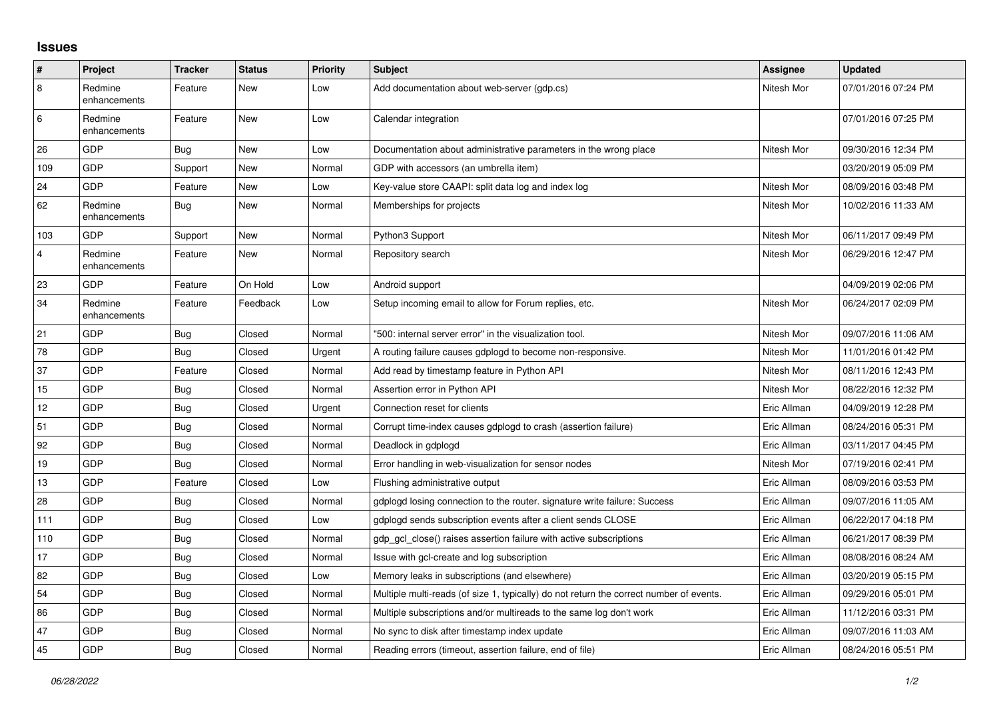## **Issues**

| #              | Project                 | <b>Tracker</b> | <b>Status</b> | <b>Priority</b> | <b>Subject</b>                                                                          | Assignee    | Updated             |
|----------------|-------------------------|----------------|---------------|-----------------|-----------------------------------------------------------------------------------------|-------------|---------------------|
| $\overline{8}$ | Redmine<br>enhancements | Feature        | New           | Low             | Add documentation about web-server (gdp.cs)                                             | Nitesh Mor  | 07/01/2016 07:24 PM |
| 6              | Redmine<br>enhancements | Feature        | New           | Low             | Calendar integration                                                                    |             | 07/01/2016 07:25 PM |
| 26             | GDP                     | <b>Bug</b>     | <b>New</b>    | Low             | Documentation about administrative parameters in the wrong place                        | Nitesh Mor  | 09/30/2016 12:34 PM |
| 109            | GDP                     | Support        | New           | Normal          | GDP with accessors (an umbrella item)                                                   |             | 03/20/2019 05:09 PM |
| 24             | GDP                     | Feature        | New           | Low             | Key-value store CAAPI: split data log and index log                                     | Nitesh Mor  | 08/09/2016 03:48 PM |
| 62             | Redmine<br>enhancements | Bug            | New           | Normal          | Memberships for projects                                                                | Nitesh Mor  | 10/02/2016 11:33 AM |
| 103            | GDP                     | Support        | New           | Normal          | Python3 Support                                                                         | Nitesh Mor  | 06/11/2017 09:49 PM |
| $\overline{4}$ | Redmine<br>enhancements | Feature        | New           | Normal          | Repository search                                                                       | Nitesh Mor  | 06/29/2016 12:47 PM |
| 23             | GDP                     | Feature        | On Hold       | Low             | Android support                                                                         |             | 04/09/2019 02:06 PM |
| 34             | Redmine<br>enhancements | Feature        | Feedback      | Low             | Setup incoming email to allow for Forum replies, etc.                                   | Nitesh Mor  | 06/24/2017 02:09 PM |
| 21             | <b>GDP</b>              | <b>Bug</b>     | Closed        | Normal          | '500: internal server error" in the visualization tool.                                 | Nitesh Mor  | 09/07/2016 11:06 AM |
| 78             | GDP                     | <b>Bug</b>     | Closed        | Urgent          | A routing failure causes gdplogd to become non-responsive.                              | Nitesh Mor  | 11/01/2016 01:42 PM |
| 37             | GDP                     | Feature        | Closed        | Normal          | Add read by timestamp feature in Python API                                             | Nitesh Mor  | 08/11/2016 12:43 PM |
| 15             | GDP                     | Bug            | Closed        | Normal          | Assertion error in Python API                                                           | Nitesh Mor  | 08/22/2016 12:32 PM |
| 12             | GDP                     | <b>Bug</b>     | Closed        | Urgent          | Connection reset for clients                                                            | Eric Allman | 04/09/2019 12:28 PM |
| 51             | GDP                     | <b>Bug</b>     | Closed        | Normal          | Corrupt time-index causes gdplogd to crash (assertion failure)                          | Eric Allman | 08/24/2016 05:31 PM |
| 92             | GDP                     | Bug            | Closed        | Normal          | Deadlock in gdplogd                                                                     | Eric Allman | 03/11/2017 04:45 PM |
| 19             | GDP                     | Bug            | Closed        | Normal          | Error handling in web-visualization for sensor nodes                                    | Nitesh Mor  | 07/19/2016 02:41 PM |
| 13             | GDP                     | Feature        | Closed        | Low             | Flushing administrative output                                                          | Eric Allman | 08/09/2016 03:53 PM |
| 28             | GDP                     | Bug            | Closed        | Normal          | gdplogd losing connection to the router, signature write failure: Success               | Eric Allman | 09/07/2016 11:05 AM |
| 111            | GDP                     | <b>Bug</b>     | Closed        | Low             | gdplogd sends subscription events after a client sends CLOSE                            | Eric Allman | 06/22/2017 04:18 PM |
| 110            | GDP                     | <b>Bug</b>     | Closed        | Normal          | gdp gcl close() raises assertion failure with active subscriptions                      | Eric Allman | 06/21/2017 08:39 PM |
| 17             | GDP                     | Bug            | Closed        | Normal          | Issue with gcl-create and log subscription                                              | Eric Allman | 08/08/2016 08:24 AM |
| 82             | GDP                     | <b>Bug</b>     | Closed        | Low             | Memory leaks in subscriptions (and elsewhere)                                           | Eric Allman | 03/20/2019 05:15 PM |
| 54             | GDP                     | Bug            | Closed        | Normal          | Multiple multi-reads (of size 1, typically) do not return the correct number of events. | Eric Allman | 09/29/2016 05:01 PM |
| 86             | GDP                     | <b>Bug</b>     | Closed        | Normal          | Multiple subscriptions and/or multireads to the same log don't work                     | Eric Allman | 11/12/2016 03:31 PM |
| 47             | GDP                     | Bug            | Closed        | Normal          | No sync to disk after timestamp index update                                            | Eric Allman | 09/07/2016 11:03 AM |
| 45             | GDP                     | <b>Bug</b>     | Closed        | Normal          | Reading errors (timeout, assertion failure, end of file)                                | Eric Allman | 08/24/2016 05:51 PM |